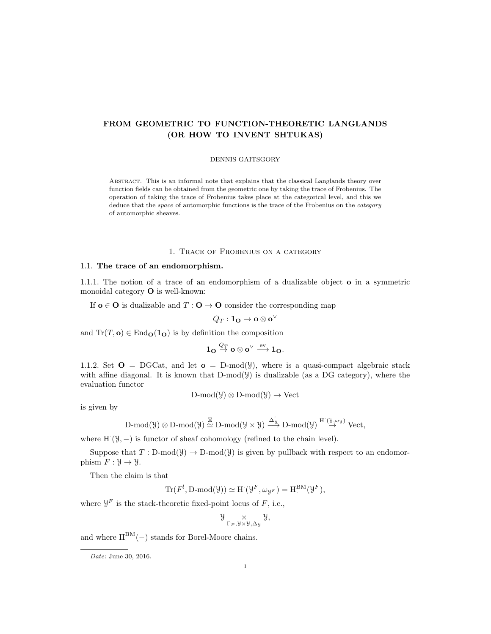# FROM GEOMETRIC TO FUNCTION-THEORETIC LANGLANDS (OR HOW TO INVENT SHTUKAS)

#### DENNIS GAITSGORY

Abstract. This is an informal note that explains that the classical Langlands theory over function fields can be obtained from the geometric one by taking the trace of Frobenius. The operation of taking the trace of Frobenius takes place at the categorical level, and this we deduce that the *space* of automorphic functions is the trace of the Frobenius on the *category* of automorphic sheaves.

## 1. Trace of Frobenius on a category

## 1.1. The trace of an endomorphism.

1.1.1. The notion of a trace of an endomorphism of a dualizable object o in a symmetric monoidal category O is well-known:

If  $o \in O$  is dualizable and  $T: O \to O$  consider the corresponding map

$$
Q_T: \mathbf{1_O} \to \mathbf{o} \otimes \mathbf{o}^\vee
$$

and  $Tr(T, o) \in End_0(1_o)$  is by definition the composition

$$
1_{\mathbf{O}}\overset{Q_T}{\rightarrow}\mathbf{o}\otimes\mathbf{o}^{\vee}\overset{\mathrm{ev}}{\longrightarrow}1_{\mathbf{O}}.
$$

1.1.2. Set  $\mathbf{O} = \text{DGCat}$ , and let  $\mathbf{o} = \text{D-mod}(\mathcal{Y})$ , where is a quasi-compact algebraic stack with affine diagonal. It is known that  $D-mod(y)$  is dualizable (as a DG category), where the evaluation functor

$$
D\text{-mod}(\mathcal{Y}) \otimes D\text{-mod}(\mathcal{Y}) \to \text{Vect}
$$

is given by

$$
\operatorname{D-mod}(\mathcal{Y}) \otimes \operatorname{D-mod}(\mathcal{Y}) \stackrel{\boxtimes}{\simeq} \operatorname{D-mod}(\mathcal{Y} \times \mathcal{Y}) \stackrel{\Delta^I_{\mathcal{Y}}}{\longrightarrow} \operatorname{D-mod}(\mathcal{Y}) \stackrel{H^{\cdot}(\mathcal{Y},\omega_{\mathcal{Y}})}{\longrightarrow} \operatorname{Vect},
$$

where  $H'(\mathcal{Y}, -)$  is functor of sheaf cohomology (refined to the chain level).

Suppose that  $T : D-mod(y) \to D-mod(y)$  is given by pullback with respect to an endomorphism  $F: \mathcal{Y} \to \mathcal{Y}$ .

Then the claim is that

$$
\text{Tr}(F^!, \text{D-mod}(\mathcal{Y})) \simeq \text{H}^{\cdot}(\mathcal{Y}^F, \omega_{\mathcal{Y}^F}) = \text{H}^{\text{BM}}_{\cdot}(\mathcal{Y}^F),
$$

where  $\mathcal{Y}^F$  is the stack-theoretic fixed-point locus of  $F$ , i.e.,

$$
\mathcal{Y}_{\Gamma_F,\mathcal{Y}\times\mathcal{Y},\Delta_{\mathcal{Y}}}\mathcal{Y},
$$

and where  $H<sup>BM</sup>(-)$  stands for Borel-Moore chains.

Date: June 30, 2016.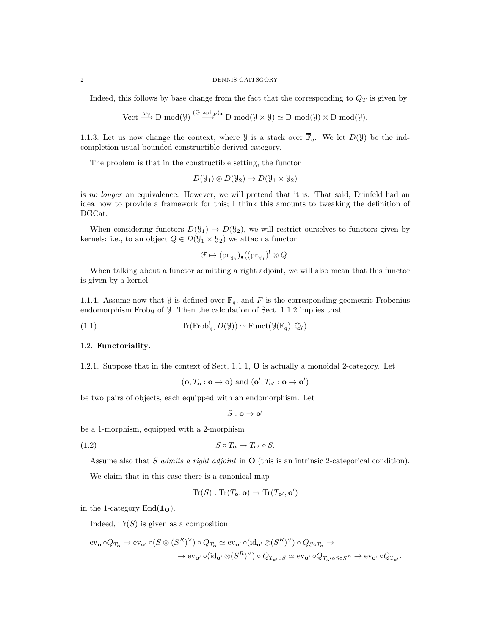#### 2 DENNIS GAITSGORY

Indeed, this follows by base change from the fact that the corresponding to  $Q_T$  is given by

Vect 
$$
\xrightarrow{\omega_{\mathcal{Y}}} \text{D-mod}(\mathcal{Y}) \overset{\text{(Graph}_F)\bullet}{\longrightarrow} \text{D-mod}(\mathcal{Y} \times \mathcal{Y}) \simeq \text{D-mod}(\mathcal{Y}) \otimes \text{D-mod}(\mathcal{Y}).
$$

1.1.3. Let us now change the context, where  $\mathcal{Y}$  is a stack over  $\overline{\mathbb{F}}_q$ . We let  $D(\mathcal{Y})$  be the indcompletion usual bounded constructible derived category.

The problem is that in the constructible setting, the functor

$$
D(\mathcal{Y}_1) \otimes D(\mathcal{Y}_2) \to D(\mathcal{Y}_1 \times \mathcal{Y}_2)
$$

is no longer an equivalence. However, we will pretend that it is. That said, Drinfeld had an idea how to provide a framework for this; I think this amounts to tweaking the definition of DGCat.

When considering functors  $D(\mathcal{Y}_1) \to D(\mathcal{Y}_2)$ , we will restrict ourselves to functors given by kernels: i.e., to an object  $Q \in D(\mathcal{Y}_1 \times \mathcal{Y}_2)$  we attach a functor

$$
\mathcal{F} \mapsto (\mathrm{pr}_{\mathcal{Y}_2})_{\bullet}((\mathrm{pr}_{\mathcal{Y}_1})^! \otimes Q.
$$

When talking about a functor admitting a right adjoint, we will also mean that this functor is given by a kernel.

1.1.4. Assume now that  $\mathcal Y$  is defined over  $\mathbb F_q$ , and F is the corresponding geometric Frobenius endomorphism Froby of  $\mathcal{Y}$ . Then the calculation of Sect. 1.1.2 implies that

(1.1) 
$$
\operatorname{Tr}(\operatorname{Frob}_y^{\mathsf{I}}, D(\mathcal{Y})) \simeq \operatorname{Funct}(\mathcal{Y}(\mathbb{F}_q), \overline{\mathbb{Q}}_{\ell}).
$$

#### 1.2. Functoriality.

1.2.1. Suppose that in the context of Sect. 1.1.1, O is actually a monoidal 2-category. Let

$$
(\mathbf{o}, T_{\mathbf{o}} : \mathbf{o} \to \mathbf{o})
$$
 and  $(\mathbf{o}', T_{\mathbf{o}'} : \mathbf{o} \to \mathbf{o}')$ 

be two pairs of objects, each equipped with an endomorphism. Let

$$
S:\mathbf{o}\to\mathbf{o}'
$$

be a 1-morphism, equipped with a 2-morphism

$$
(1.2) \t\t S \circ T_{\mathbf{o}} \to T_{\mathbf{o}'} \circ S.
$$

Assume also that S admits a right adjoint in  $\mathbf{O}$  (this is an intrinsic 2-categorical condition).

We claim that in this case there is a canonical map

$$
\operatorname{Tr}(S): \operatorname{Tr}(T_{\mathbf{o}}, \mathbf{o}) \to \operatorname{Tr}(T_{\mathbf{o}'}, \mathbf{o}')
$$

in the 1-category  $\text{End}(\mathbf{1}_{\mathbf{O}}).$ 

Indeed,  $Tr(S)$  is given as a composition

$$
\begin{aligned} \mathrm{ev}_\mathbf{o} \circ Q_{T_\mathbf{o}} &\to \mathrm{ev}_{\mathbf{o}'} \circ (S \otimes (S^R)^\vee) \circ Q_{T_\mathbf{o}} \simeq \mathrm{ev}_{\mathbf{o}'} \circ (\mathrm{id}_{\mathbf{o}'} \otimes (S^R)^\vee) \circ Q_{S \circ T_\mathbf{o}} \to \\ &\to \mathrm{ev}_{\mathbf{o}'} \circ (\mathrm{id}_{\mathbf{o}'} \otimes (S^R)^\vee) \circ Q_{T_{\mathbf{o}'} \circ S} \simeq \mathrm{ev}_{\mathbf{o}'} \circ Q_{T_{\mathbf{o}'} \circ S \circ S^R} \to \mathrm{ev}_{\mathbf{o}'} \circ Q_{T_{\mathbf{o}'}}. \end{aligned}
$$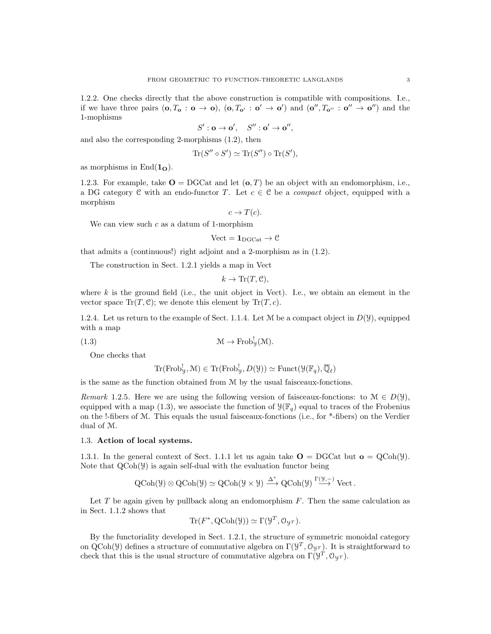1.2.2. One checks directly that the above construction is compatible with compositions. I.e., if we have three pairs  $(\mathbf{0}, T_{\mathbf{o}} : \mathbf{o} \to \mathbf{o}), (\mathbf{o}, T_{\mathbf{o}'} : \mathbf{o}' \to \mathbf{o}')$  and  $(\mathbf{o}'', T_{\mathbf{o}''} : \mathbf{o}'' \to \mathbf{o}'')$  and the 1-mophisms

$$
S':\mathbf{o}\to\mathbf{o}',\quad S'':\mathbf{o}'\to\mathbf{o}'',
$$

and also the corresponding 2-morphisms (1.2), then

$$
\operatorname{Tr}(S'' \circ S') \simeq \operatorname{Tr}(S'') \circ \operatorname{Tr}(S'),
$$

as morphisms in  $\text{End}(\mathbf{1}_{\mathbf{O}}).$ 

1.2.3. For example, take  $\mathbf{O} = \text{DGCat}$  and let  $(\mathbf{o}, T)$  be an object with an endomorphism, i.e., a DG category C with an endo-functor T. Let  $c \in \mathcal{C}$  be a *compact* object, equipped with a morphism

$$
c \to T(c).
$$

We can view such  $c$  as a datum of 1-morphism

$$
\mathrm{Vect}=\mathbf{1}_{\mathrm{DGCat}}\to\mathcal{C}
$$

that admits a (continuous!) right adjoint and a 2-morphism as in (1.2).

The construction in Sect. 1.2.1 yields a map in Vect

$$
k \to \text{Tr}(T, \mathcal{C}),
$$

where  $k$  is the ground field (i.e., the unit object in Vect). I.e., we obtain an element in the vector space  $\text{Tr}(T, \mathcal{C})$ ; we denote this element by  $\text{Tr}(T, c)$ .

1.2.4. Let us return to the example of Sect. 1.1.4. Let M be a compact object in  $D(y)$ , equipped with a map

(1.3) 
$$
\mathcal{M} \to \text{Frob}_{y}^{!}(\mathcal{M}).
$$

One checks that

$$
\mathrm{Tr}(\mathrm{Frob}^{\mathrm{I}}_{\mathcal{Y}}, \mathcal{M}) \in \mathrm{Tr}(\mathrm{Frob}^{\mathrm{I}}_{\mathcal{Y}}, D(\mathcal{Y})) \simeq \mathrm{Funct}(\mathcal{Y}(\mathbb{F}_q), \overline{\mathbb{Q}}_{\ell})
$$

is the same as the function obtained from M by the usual faisceaux-fonctions.

Remark 1.2.5. Here we are using the following version of faisceaux-fonctions: to  $\mathcal{M} \in D(\mathcal{Y})$ , equipped with a map (1.3), we associate the function of  $\mathcal{Y}(\mathbb{F}_q)$  equal to traces of the Frobenius on the !-fibers of M. This equals the usual faisceaux-fonctions (i.e., for \*-fibers) on the Verdier dual of M.

#### 1.3. Action of local systems.

1.3.1. In the general context of Sect. 1.1.1 let us again take  $\mathbf{O} = \text{DGCat}$  but  $\mathbf{o} = \text{QCoh}(\mathcal{Y})$ . Note that  $QCoh(\mathcal{Y})$  is again self-dual with the evaluation functor being

$$
\operatorname{QCoh}(\mathcal{Y}) \otimes \operatorname{QCoh}(\mathcal{Y}) \simeq \operatorname{QCoh}(\mathcal{Y} \times \mathcal{Y}) \xrightarrow{\Delta^*} \operatorname{QCoh}(\mathcal{Y}) \xrightarrow{\Gamma(\mathcal{Y},-)} \operatorname{Vect}.
$$

Let  $T$  be again given by pullback along an endomorphism  $F$ . Then the same calculation as in Sect. 1.1.2 shows that

$$
Tr(F^*, QCoh(\mathcal{Y})) \simeq \Gamma(\mathcal{Y}^T, \mathcal{O}_{\mathcal{Y}^T}).
$$

By the functoriality developed in Sect. 1.2.1, the structure of symmetric monoidal category on QCoh(y) defines a structure of commutative algebra on  $\Gamma(\mathcal{Y}^T, \mathcal{O}_{\mathcal{Y}^T})$ . It is straightforward to check that this is the usual structure of commutative algebra on  $\Gamma(\mathcal{Y}^T, \mathcal{O}_{\mathcal{Y}^T})$ .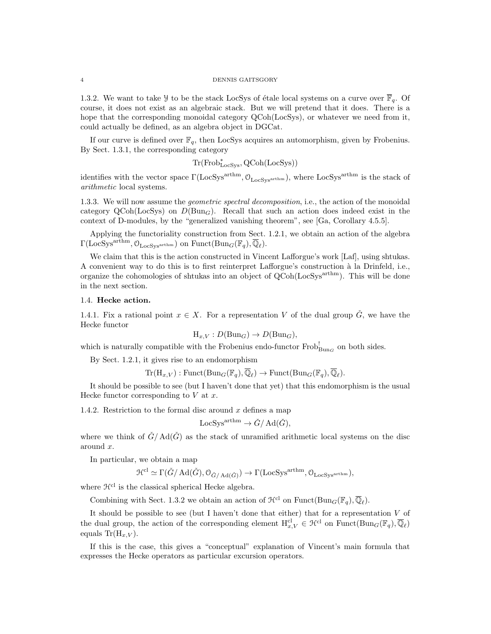1.3.2. We want to take Y to be the stack LocSys of étale local systems on a curve over  $\overline{\mathbb{F}}_q$ . Of course, it does not exist as an algebraic stack. But we will pretend that it does. There is a hope that the corresponding monoidal category QCoh(LocSys), or whatever we need from it, could actually be defined, as an algebra object in DGCat.

If our curve is defined over  $\mathbb{F}_q$ , then LocSys acquires an automorphism, given by Frobenius. By Sect. 1.3.1, the corresponding category

Tr(Frob<sup>∗</sup> LocSys, QCoh(LocSys))

identifies with the vector space  $\Gamma(\text{LocSys}^{\text{arthm}}, \mathcal{O}_{\text{LocSys}^{\text{arthm}}})$ , where  $\text{LocSys}^{\text{arthm}}$  is the stack of arithmetic local systems.

1.3.3. We will now assume the geometric spectral decomposition, i.e., the action of the monoidal category QCoh(LocSys) on  $D(\text{Bun}_G)$ . Recall that such an action does indeed exist in the context of D-modules, by the "generalized vanishing theorem", see [Ga, Corollary 4.5.5].

Applying the functoriality construction from Sect. 1.2.1, we obtain an action of the algebra  $\Gamma(\text{LocSys}^{\text{arthm}}, \mathcal{O}_{\text{LocSys}^{\text{arthm}}})$  on  $\text{Funct}(\text{Bun}_G(\mathbb{F}_q), \overline{\mathbb{Q}}_{\ell}).$ 

We claim that this is the action constructed in Vincent Lafforgue's work [Laf], using shtukas. A convenient way to do this is to first reinterpret Lafforgue's construction `a la Drinfeld, i.e., organize the cohomologies of shtukas into an object of QCoh(LocSys<sup>arthm</sup>). This will be done in the next section.

## 1.4. Hecke action.

1.4.1. Fix a rational point  $x \in X$ . For a representation V of the dual group  $\check{G}$ , we have the Hecke functor

$$
H_{x,V}: D(Bun_G) \to D(Bun_G),
$$

which is naturally compatible with the Frobenius endo-functor  $Frob_{Bun_G}^!$  on both sides.

By Sect. 1.2.1, it gives rise to an endomorphism

 $\text{Tr}(\mathbf{H}_{x,V}): \text{Funct}(\text{Bun}_G(\mathbb{F}_q), \overline{\mathbb{Q}}_{\ell}) \to \text{Funct}(\text{Bun}_G(\mathbb{F}_q), \overline{\mathbb{Q}}_{\ell}).$ 

It should be possible to see (but I haven't done that yet) that this endomorphism is the usual Hecke functor corresponding to  $V$  at  $x$ .

1.4.2. Restriction to the formal disc around x defines a map

$$
LocSys^{arthm} \to \check{G}/\operatorname{Ad}(\check{G}),
$$

where we think of  $\check{G}/\text{Ad}(\check{G})$  as the stack of unramified arithmetic local systems on the disc around x.

In particular, we obtain a map

$$
\mathcal{H}^{\mathrm{cl}} \simeq \Gamma(\check{G}/\operatorname{Ad}(\check{G}), \mathcal{O}_{\check{G}/\operatorname{Ad}(\check{G})}) \to \Gamma(\operatorname{LocSys}^{\operatorname{arthm}}, \mathcal{O}_{\operatorname{LocSys}^{\operatorname{arthm}}}),
$$

where  $\mathcal{H}^{cl}$  is the classical spherical Hecke algebra.

Combining with Sect. 1.3.2 we obtain an action of  $\mathcal{H}^{cl}$  on  $\text{Funct}(\text{Bun}_G(\mathbb{F}_q), \overline{\mathbb{Q}}_\ell)$ .

It should be possible to see (but I haven't done that either) that for a representation  $V$  of the dual group, the action of the corresponding element  $H_{x,V}^{cl} \in \mathcal{H}^{cl}$  on  $\text{Funct}(\text{Bun}_G(\mathbb{F}_q), \overline{\mathbb{Q}}_\ell)$ equals  $\text{Tr}(\mathbf{H}_{x,V}).$ 

If this is the case, this gives a "conceptual" explanation of Vincent's main formula that expresses the Hecke operators as particular excursion operators.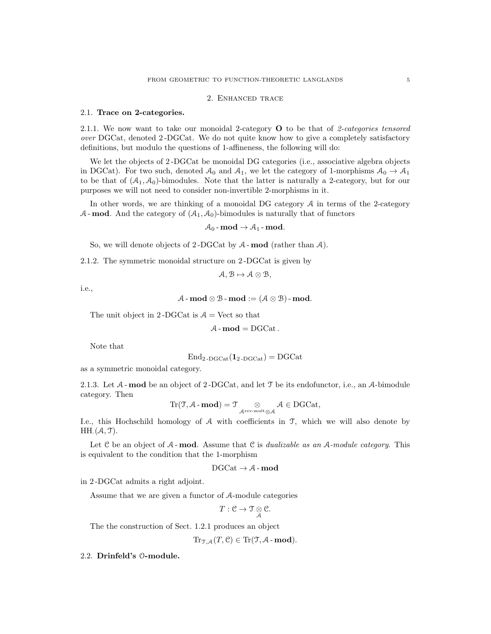## 2. Enhanced trace

#### 2.1. Trace on 2-categories.

2.1.1. We now want to take our monoidal 2-category  $\bf{O}$  to be that of 2-categories tensored over DGCat, denoted 2 -DGCat. We do not quite know how to give a completely satisfactory definitions, but modulo the questions of 1-affineness, the following will do:

We let the objects of 2-DGCat be monoidal DG categories (i.e., associative algebra objects in DGCat). For two such, denoted  $A_0$  and  $A_1$ , we let the category of 1-morphisms  $A_0 \rightarrow A_1$ to be that of  $(A_1, A_0)$ -bimodules. Note that the latter is naturally a 2-category, but for our purposes we will not need to consider non-invertible 2-morphisms in it.

In other words, we are thinking of a monoidal DG category  $A$  in terms of the 2-category  $A$ -mod. And the category of  $(A_1, A_0)$ -bimodules is naturally that of functors

$$
\mathcal{A}_0\operatorname{-mod}\to\mathcal{A}_1\operatorname{-mod}.
$$

So, we will denote objects of 2-DGCat by  $A$ -mod (rather than  $A$ ).

2.1.2. The symmetric monoidal structure on 2 -DGCat is given by

$$
A, B \mapsto A \otimes B,
$$

i.e.,

$$
\mathcal{A}\text{-}\operatorname{\mathbf{mod}}\otimes \mathcal{B}\text{-}\operatorname{\mathbf{mod}}:=(\mathcal{A}\otimes \mathcal{B})\text{-}\operatorname{\mathbf{mod}}.
$$

The unit object in 2-DGCat is  $A =$  Vect so that

$$
\mathcal{A}\text{-}\mathbf{mod}=\mathrm{DGCat}\,.
$$

Note that

$$
End_{2\text{-DGCat}}(\mathbf{1}_{2\text{-DGCat}}) = DGCat
$$

as a symmetric monoidal category.

2.1.3. Let  $A$ -mod be an object of 2-DGCat, and let  $\mathcal T$  be its endofunctor, i.e., an  $A$ -bimodule category. Then

$$
\mathrm{Tr}(\mathfrak{T}, \mathcal{A} \text{-}\mathbf{mod}) = \mathfrak{T} \underset{\mathcal{A}^{\mathrm{rev\text{-}mult}} \otimes \mathcal{A}}{\otimes} \mathcal{A} \in \mathrm{DGCat},
$$

I.e., this Hochschild homology of  $A$  with coefficients in  $I$ , which we will also denote by  $HH.(\mathcal{A}, \mathcal{T}).$ 

Let  $C$  be an object of  $A$ -mod. Assume that  $C$  is *dualizable as an*  $A$ -module category. This is equivalent to the condition that the 1-morphism

$$
\mathrm{DGCat} \rightarrow \mathcal{A}\text{-}\mathbf{mod}
$$

in 2 -DGCat admits a right adjoint.

Assume that we are given a functor of A-module categories

$$
T: \mathcal{C} \to \mathfrak{T} \underset{\mathcal{A}}{\otimes} \mathcal{C}.
$$

The the construction of Sect. 1.2.1 produces an object

 $\mathrm{Tr}_{\mathcal{TA}}(T,\mathcal{C}) \in \mathrm{Tr}(\mathcal{T},\mathcal{A}\text{-}\mathbf{mod}).$ 

#### 2.2. Drinfeld's O-module.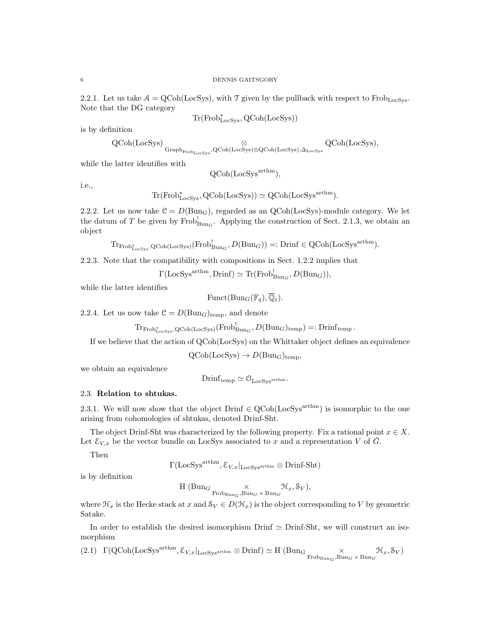2.2.1. Let us take  $A = \text{QCoh}(\text{LocSys})$ , with T given by the pullback with respect to Frob<sub>LocSys</sub>. Note that the DG category

$$
Tr(Frob^*_{\mathrm{LocSys}}, \mathrm{QCoh}(\mathrm{LocSys}))
$$

is by definition

$$
\operatorname{QCoh}(\mathrm{LocSys}) \underset{\mathrm{Graph}_{\mathrm{Frob}_{\mathrm{LocSys}}}, \mathrm{QCoh}(\mathrm{LocSys}) \otimes \mathrm{QCoh}(\mathrm{LocSys}), \Delta_{\mathrm{LocSys}}} {\otimes} \operatorname{QCoh}(\mathrm{LocSys}),
$$

while the latter identifies with

$$
\text{QCoh}(\text{LocSys}^{\text{arthm}}),
$$

i.e.,

$$
Tr(Frob_{LocSys}^*, QCoh(LocSys)) \simeq QCoh(LocSys^{arthm}).
$$

2.2.2. Let us now take  $C = D(Bun_G)$ , regarded as an QCoh(LocSys)-module category. We let the datum of T be given by  $Frob_{Bun_G}^!$ . Applying the construction of Sect. 2.1.3, we obtain an object

 $\operatorname{Tr}_{\text{Frob}^*_{\text{LocSys}},\text{QCoh}(\text{LocSys})}(\text{Frob}^!_{\text{Bun}_G},D(\text{Bun}_G)) =: \text{Drinf} \in \text{QCoh}(\text{LocSys}^{\text{arthm}}).$ 

2.2.3. Note that the compatibility with compositions in Sect. 1.2.2 implies that

 $\Gamma(\text{LocSys}^{\text{arthm}}, \text{Drinf}) \simeq \text{Tr}(\text{Frob}_{\text{Bun}_G}^!, D(\text{Bun}_G)),$ 

while the latter identifies

 $\text{Funct}(\text{Bun}_G(\mathbb{F}_q), \overline{\mathbb{Q}}_\ell).$ 

2.2.4. Let us now take  $C = D(\text{Bun}_G)_{temp}$ , and denote

 $\mathrm{Tr}_{\mathrm{Frob}^*_{\mathrm{LocSys}},\mathrm{QCoh}(\mathrm{LocSys})}(\mathrm{Frob}^!_{\mathrm{Bun}_G},D(\mathrm{Bun}_G)_{\mathrm{temp}})=:\mathrm{Drinf}_{\mathrm{temp}}$ .

If we believe that the action of QCoh(LocSys) on the Whittaker object defines an equivalence

 $QCoh(LocSys) \rightarrow D(Bun_G)_{temp}$ 

we obtain an equivalence

 $Drinf_{temp} \simeq \mathcal{O}_{LocSvs^{arthm}}$ .

## 2.3. Relation to shtukas.

2.3.1. We will now show that the object Drinf  $\in \text{QCoh}(\text{LocSys}^{\text{arthm}})$  is isomorphic to the one arising from cohomologies of shtukas, denoted Drinf-Sht.

The object Drinf-Sht was characterized by the following property. Fix a rational point  $x \in X$ . Let  $\mathcal{E}_{V,x}$  be the vector bundle on LocSys associated to x and a representation V of  $\tilde{G}$ .

Then

$$
\Gamma(\text{LocSys}^{\text{arthm}}, \mathcal{E}_{V,x}|_{\text{LocSys}^{\text{arthm}}} \otimes \text{Drinf-Sht})
$$

is by definition

$$
\text{H}^\cdot(\text{Bun}_{G}\underset{\text{Frob}_{\text{Bun}_G},\text{Bun}_G\times\text{Bun}_G}\times \mathcal{H}_x,\mathcal{S}_V),
$$

where  $\mathcal{H}_x$  is the Hecke stack at x and  $\mathcal{S}_V \in D(\mathcal{H}_x)$  is the object corresponding to V by geometric Satake.

In order to establish the desired isomorphism  $\text{Drinf} \simeq \text{Drinf-Sht}$ , we will construct an isomorphism

(2.1) 
$$
\Gamma(\text{QCoh}(\text{LocSys}^{\text{arthm}}, \mathcal{E}_{V,x}|_{\text{LocSys}^{\text{arthm}}}\otimes \text{Drinf}) \simeq \text{H}^{\cdot}(\text{Bun}_{G} \underset{\text{Frob}_{\text{Bun}_{G}}, \text{Bun}_{G}}{\times} \mathcal{H}_{x}, \mathcal{S}_{V})
$$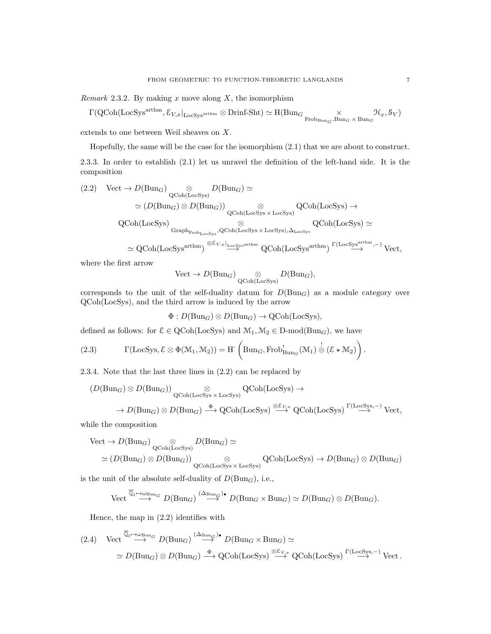Remark 2.3.2. By making x move along  $X$ , the isomorphism

$$
\Gamma(\operatorname{QCoh}(\operatorname{LocSys}^{\operatorname{arthm}}, \mathcal{E}_{V, x}|_{\operatorname{LocSys}^{\operatorname{arthm}}} \otimes \operatorname{Drinf-Sht}) \simeq \mathrm{H}(\operatorname{Bun}_G \underset{\operatorname{Frob}_{\operatorname{Bun}_G}, \operatorname{Bun}_G}{\times} \mathcal{H}_x, \mathcal{S}_V)
$$

extends to one between Weil sheaves on X.

Hopefully, the same will be the case for the isomorphism (2.1) that we are about to construct.

2.3.3. In order to establish (2.1) let us unravel the definition of the left-hand side. It is the composition

$$
(2.2) \quad \text{Vect} \to D(\text{Bun}_G) \underset{\text{QCoh}(\text{LocSys})}{\otimes} D(\text{Bun}_G) \simeq
$$
\n
$$
\simeq (D(\text{Bun}_G) \otimes D(\text{Bun}_G)) \underset{\text{QCoh}(\text{LocSys} \times \text{LocSys})}{\otimes} \text{QCoh}(\text{LocSys}) \to
$$
\n
$$
\text{QCoh}(\text{LocSys}) \underset{\text{Graph}_{\text{Frob}_{\text{LocSys}}}, \text{QCoh}(\text{LocSys} \times \text{LocSys}), \Delta_{\text{LocSys}}}{\otimes} \text{QCoh}(\text{LocSys}) \simeq
$$
\n
$$
\simeq \text{QCoh}(\text{LocSys}^{\text{arthm}}) \xrightarrow{\otimes \mathcal{E}_{V,x}|_{\text{LocSys}^{\text{arthm}}} \text{QCoh}(\text{LocSys}^{\text{arthm}})^{\Gamma(\text{LocSys}^{\text{arthm}},-)} \text{Vect},
$$

where the first arrow

$$
\text{Vect} \to D(\text{Bun}_G) \underset{\text{QCoh}(\text{LocSys})}{\otimes} D(\text{Bun}_G),
$$

corresponds to the unit of the self-duality datum for  $D(\text{Bun}_G)$  as a module category over QCoh(LocSys), and the third arrow is induced by the arrow

 $\Phi: D(\text{Bun}_G) \otimes D(\text{Bun}_G) \to \text{QCoh}(\text{LocSys}),$ 

defined as follows: for  $\mathcal{E} \in \text{QCoh}(\text{LocSys})$  and  $\mathcal{M}_1, \mathcal{M}_2 \in \text{D-mod}(\text{Bun}_G)$ , we have

(2.3) 
$$
\Gamma(\text{LocSys}, \mathcal{E} \otimes \Phi(\mathcal{M}_1, \mathcal{M}_2)) = H^{'} \left( \text{Bun}_G, \text{Frob}_{\text{Bun}_G}^!(\mathcal{M}_1) \overset{!}{\otimes} (\mathcal{E} \star \mathcal{M}_2) \right).
$$

2.3.4. Note that the last three lines in (2.2) can be replaced by

$$
(D(\text{Bun}_G) \otimes D(\text{Bun}_G)) \underset{\text{QCoh}(\text{LocSys}) \times \text{LocSys}}{\otimes} \text{QCoh}(\text{LocSys}) \rightarrow
$$
  

$$
\rightarrow D(\text{Bun}_G) \otimes D(\text{Bun}_G) \xrightarrow{\Phi} \text{QCoh}(\text{LocSys}) \xrightarrow{\otimes \mathcal{E}_{V_x^x}} \text{QCoh}(\text{LocSys})^{\Gamma(\text{LocSys}, -)} \text{Vect},
$$

while the composition

$$
\begin{aligned}\n\text{Vect} &\to D(\text{Bun}_G) \underset{\text{QCoh}(\text{LocSys})}{\otimes} D(\text{Bun}_G) \simeq \\
&\simeq (D(\text{Bun}_G) \otimes D(\text{Bun}_G)) \underset{\text{QCoh}(\text{LocSys} \times \text{LocSys})}{\otimes} \text{QCoh}(\text{LocSys}) \to D(\text{Bun}_G) \otimes D(\text{Bun}_G)\n\end{aligned}
$$

is the unit of the absolute self-duality of  $D(\text{Bun}_G)$ , i.e.,

$$
\text{Vect} \xrightarrow{\overline{\mathbb{Q}}_{\ell} \mapsto \omega_{\text{Bun}_G}} D(\text{Bun}_G) \xrightarrow{(\Delta_{\text{Bun}_G})^\bullet} D(\text{Bun}_G \times \text{Bun}_G) \simeq D(\text{Bun}_G) \otimes D(\text{Bun}_G).
$$

Hence, the map in (2.2) identifies with

$$
(2.4) \quad \text{Vect} \stackrel{\overline{\mathbb{Q}}_{\ell} \mapsto \omega_{\text{Bun}_G}}{\longrightarrow} D(\text{Bun}_G) \stackrel{(\Delta_{\text{Bun}_G})^{\bullet}}{\longrightarrow} D(\text{Bun}_G \times \text{Bun}_G) \simeq
$$
\n
$$
\simeq D(\text{Bun}_G) \otimes D(\text{Bun}_G) \stackrel{\Phi}{\longrightarrow} \text{QCoh}(\text{LocSys}) \stackrel{\otimes \mathcal{E}_{V,x}}{\longrightarrow} \text{QCoh}(\text{LocSys}) \stackrel{\Gamma(\text{LocSys}, -)}{\longrightarrow} \text{Vect}.
$$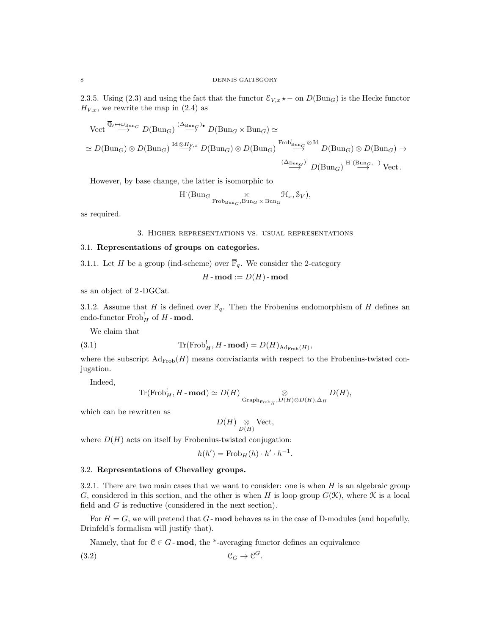2.3.5. Using (2.3) and using the fact that the functor  $\mathcal{E}_{V,x} \star$  − on  $D(\text{Bun}_G)$  is the Hecke functor  $H_{V,x}$ , we rewrite the map in (2.4) as

$$
\begin{split}\n\text{Vect} \overset{\overline{\mathbb{Q}}_{\ell} \to \omega_{\text{Bun}_G}}{\longrightarrow} D(\text{Bun}_G) \overset{(\Delta_{\text{Bun}_G})_{\bullet}}{\longrightarrow} D(\text{Bun}_G \times \text{Bun}_G) \simeq \\
&\simeq D(\text{Bun}_G) \otimes D(\text{Bun}_G) \overset{\text{Id} \otimes H_{V,x}}{\longrightarrow} D(\text{Bun}_G) \otimes D(\text{Bun}_G) \overset{\text{Frob}_{\text{Bun}_G}^1}{\longrightarrow} \overset{\otimes \text{Id}}{\longrightarrow} D(\text{Bun}_G) \otimes D(\text{Bun}_G) \to \\
&\xrightarrow{(\Delta_{\text{Bun}_G})^!} D(\text{Bun}_G) \overset{\text{H} \cdot (\text{Bun}_G, -)}{\longrightarrow} \text{Vect}\n\end{split}
$$

However, by base change, the latter is isomorphic to

$$
\textbf{H}^\cdot(\text{Bun}_{G}\underset{\text{Frob}_{\text{Bun}_G},\text{Bun}_G\times\text{Bun}_G}\times \mathcal{H}_x,\mathcal{S}_V),
$$

as required.

#### 3. Higher representations vs. usual representations

## 3.1. Representations of groups on categories.

3.1.1. Let H be a group (ind-scheme) over  $\overline{\mathbb{F}}_q$ . We consider the 2-category

$$
H\operatorname{-}\mathbf{mod}:=D(H)\operatorname{-}\mathbf{mod}
$$

as an object of 2 -DGCat.

3.1.2. Assume that H is defined over  $\mathbb{F}_q$ . Then the Frobenius endomorphism of H defines an endo-functor  $\text{Frob}_{H}^{!}$  of  $H$  - **mod**.

We claim that

(3.1) 
$$
\operatorname{Tr}(\operatorname{Frob}_H^! H \textbf{-mod}) = D(H)_{\operatorname{Ad}_{\operatorname{Frob}}(H)},
$$

where the subscript  $\text{Ad}_{\text{Frob}}(H)$  means conviariants with respect to the Frobenius-twisted conjugation.

Indeed,

$$
\text{Tr}(\text{Frob}_H^!, H\text{-}\textbf{mod})\simeq D(H)\underset{\text{Graph}_{\text{Frob}_H}, D(H)\otimes D(H), \Delta_H}{\otimes}D(H),
$$

which can be rewritten as

$$
D(H) \underset{D(H)}{\otimes} \mathrm{Vect},
$$

where  $D(H)$  acts on itself by Frobenius-twisted conjugation:

$$
h(h') = \operatorname{Frob}_H(h) \cdot h' \cdot h^{-1}.
$$

### 3.2. Representations of Chevalley groups.

3.2.1. There are two main cases that we want to consider: one is when  $H$  is an algebraic group G, considered in this section, and the other is when H is loop group  $G(\mathfrak{K})$ , where  $\mathfrak K$  is a local field and G is reductive (considered in the next section).

For  $H = G$ , we will pretend that  $G$ -**mod** behaves as in the case of D-modules (and hopefully, Drinfeld's formalism will justify that).

Namely, that for  $C \in G$ -mod, the \*-averaging functor defines an equivalence

$$
(3.2) \t\t\t\t\t\t\mathcal{C}_G \to \mathcal{C}^G.
$$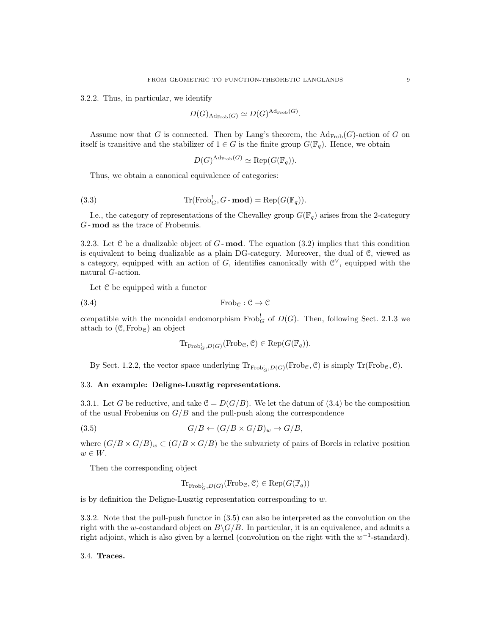3.2.2. Thus, in particular, we identify

$$
D(G)_{\mathrm{Ad}_{\mathrm{Frob}}(G)} \simeq D(G)^{\mathrm{Ad}_{\mathrm{Frob}}(G)}.
$$

Assume now that G is connected. Then by Lang's theorem, the  $\mathrm{Ad}_{\mathrm{Frob}}(G)$ -action of G on itself is transitive and the stabilizer of  $1 \in G$  is the finite group  $G(\mathbb{F}_q)$ . Hence, we obtain

$$
D(G)^{\mathrm{Ad}_{\mathrm{Frob}}(G)} \simeq \mathrm{Rep}(G(\mathbb{F}_q)).
$$

Thus, we obtain a canonical equivalence of categories:

(3.3) 
$$
\operatorname{Tr}(\operatorname{Frob}_G^! G - \mathbf{mod}) = \operatorname{Rep}(G(\mathbb{F}_q)).
$$

I.e., the category of representations of the Chevalley group  $G(\mathbb{F}_q)$  arises from the 2-category G - mod as the trace of Frobenuis.

3.2.3. Let  $\mathcal C$  be a dualizable object of  $G$ -**mod**. The equation (3.2) implies that this condition is equivalent to being dualizable as a plain DG-category. Moreover, the dual of C, viewed as a category, equipped with an action of G, identifies canonically with  $\mathcal{C}^{\vee}$ , equipped with the natural G-action.

Let  $C$  be equipped with a functor

(3.4) 
$$
\text{Frob}_{\mathcal{C}} : \mathcal{C} \to \mathcal{C}
$$

compatible with the monoidal endomorphism  $\text{Frob}^!_G$  of  $D(G)$ . Then, following Sect. 2.1.3 we attach to  $(\mathcal{C}, \text{Frob}_{\mathcal{C}})$  an object

$$
\mathrm{Tr}_{\mathrm{Frob}_G^!,D(G)}(\mathrm{Frob}_\mathcal{C},\mathcal{C}) \in \mathrm{Rep}(G(\mathbb{F}_q)).
$$

By Sect. 1.2.2, the vector space underlying  $\text{Tr}_{\text{Frob}_G^1, D(G)}(\text{Frob}_\mathcal{C}, \mathcal{C})$  is simply  $\text{Tr}(\text{Frob}_\mathcal{C}, \mathcal{C})$ .

## 3.3. An example: Deligne-Lusztig representations.

3.3.1. Let G be reductive, and take  $\mathcal{C} = D(G/B)$ . We let the datum of (3.4) be the composition of the usual Frobenius on  $G/B$  and the pull-push along the correspondence

$$
(3.5) \tG/B \leftarrow (G/B \times G/B)_w \to G/B,
$$

where  $(G/B \times G/B)_w \subset (G/B \times G/B)$  be the subvariety of pairs of Borels in relative position  $w \in W$ .

Then the corresponding object

$$
\mathrm{Tr}_{\mathrm{Frob}^!_{G}, D(G)}(\mathrm{Frob}_{\mathcal{C}}, \mathcal{C}) \in \mathrm{Rep}(G(\mathbb{F}_q))
$$

is by definition the Deligne-Lusztig representation corresponding to  $w$ .

3.3.2. Note that the pull-push functor in (3.5) can also be interpreted as the convolution on the right with the w-costandard object on  $B\backslash G/B$ . In particular, it is an equivalence, and admits a right adjoint, which is also given by a kernel (convolution on the right with the  $w^{-1}$ -standard).

## 3.4. Traces.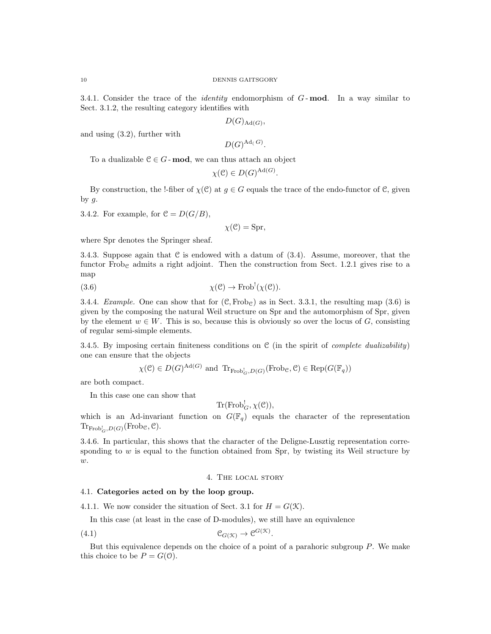3.4.1. Consider the trace of the *identity* endomorphism of  $G$ -mod. In a way similar to Sect. 3.1.2, the resulting category identifies with

 $D(G)_{\text{Ad}(G)},$ 

and using (3.2), further with

 $D(G)^{\mathrm{Ad}_\zeta(G)}.$ 

To a dualizable  $C \in G$ -mod, we can thus attach an object

$$
\chi(\mathcal{C}) \in D(G)^{\text{Ad}(G)}.
$$

By construction, the !-fiber of  $\chi(\mathcal{C})$  at  $g \in G$  equals the trace of the endo-functor of  $\mathcal{C}$ , given by  $g$ .

3.4.2. For example, for  $C = D(G/B)$ ,

 $\chi(\mathcal{C}) = \text{Spr}$ ,

where Spr denotes the Springer sheaf.

3.4.3. Suppose again that  $C$  is endowed with a datum of  $(3.4)$ . Assume, moreover, that the functor Frob<sub>c</sub> admits a right adjoint. Then the construction from Sect. 1.2.1 gives rise to a map

(3.6) 
$$
\chi(\mathcal{C}) \to \text{Frob}^!(\chi(\mathcal{C})).
$$

3.4.4. Example. One can show that for  $(\mathcal{C}, \text{Frob}_{\mathcal{C}})$  as in Sect. 3.3.1, the resulting map (3.6) is given by the composing the natural Weil structure on Spr and the automorphism of Spr, given by the element  $w \in W$ . This is so, because this is obviously so over the locus of G, consisting of regular semi-simple elements.

3.4.5. By imposing certain finiteness conditions on  $C$  (in the spirit of *complete dualizability*) one can ensure that the objects

 $\chi(\mathcal{C}) \in D(G)^{\text{Ad}(G)}$  and  $\text{Tr}_{\text{Frob}_G^1, D(G)}(\text{Frob}_\mathcal{C}, \mathcal{C}) \in \text{Rep}(G(\mathbb{F}_q))$ 

are both compact.

In this case one can show that

 $\text{Tr}(\text{Frob}_G^!, \chi(\mathcal{C})),$ 

which is an Ad-invariant function on  $G(\mathbb{F}_q)$  equals the character of the representation  $\text{Tr}_{\text{Frob}^!_{G},D(G)}(\text{Frob}_{\mathcal{C}},\mathcal{C}).$ 

3.4.6. In particular, this shows that the character of the Deligne-Lusztig representation corresponding to  $w$  is equal to the function obtained from Spr, by twisting its Weil structure by  $w$ .

#### 4. The local story

## 4.1. Categories acted on by the loop group.

4.1.1. We now consider the situation of Sect. 3.1 for  $H = G(\mathcal{K})$ .

In this case (at least in the case of D-modules), we still have an equivalence

$$
(4.1) \t\t\t\t\t\mathcal{C}_{G(\mathcal{K})} \to \mathcal{C}^{G(\mathcal{K})}
$$

But this equivalence depends on the choice of a point of a parahoric subgroup  $P$ . We make this choice to be  $P = G(0)$ .

.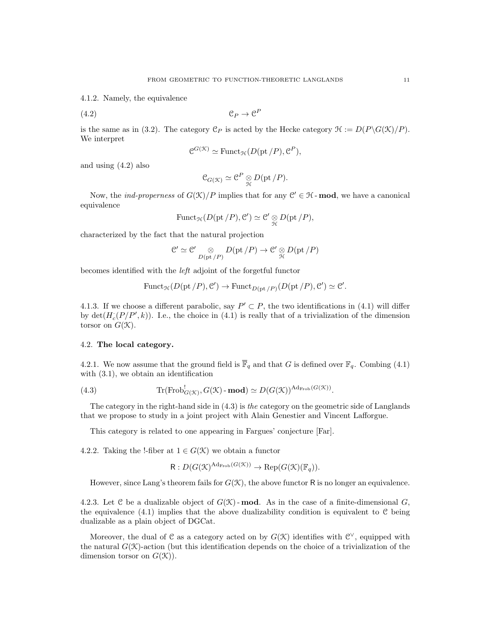4.1.2. Namely, the equivalence

(4.2) C<sup>P</sup> → C P

is the same as in (3.2). The category  $\mathcal{C}_P$  is acted by the Hecke category  $\mathcal{H} := D(P \setminus G(\mathcal{K})/P)$ . We interpret

$$
\mathcal{C}^{G(\mathcal{K})} \simeq \text{Funct}_{\mathcal{H}}(D(\text{pt}/P), \mathcal{C}^P),
$$

and using (4.2) also

$$
\mathcal{C}_{G(\mathcal{K})} \simeq \mathcal{C}^P \underset{\mathcal{H}}{\otimes} D(\mathrm{pt}/P).
$$

Now, the *ind-properness* of  $G(\mathcal{K})/P$  implies that for any  $\mathcal{C}' \in \mathcal{H}$ -**mod**, we have a canonical equivalence

$$
\mathrm{Funct}_{\mathcal{H}}(D(\mathrm{pt}/P), \mathcal{C}') \simeq \mathcal{C}' \underset{\mathcal{H}}{\otimes} D(\mathrm{pt}/P),
$$

characterized by the fact that the natural projection

$$
\mathcal{C}' \simeq \mathcal{C}' \underset{D(\mathrm{pt}/P)}{\otimes} D(\mathrm{pt}/P) \to \mathcal{C}' \underset{\mathcal{H}}{\otimes} D(\mathrm{pt}/P)
$$

becomes identified with the left adjoint of the forgetful functor

$$
\mathrm{Funct}_{\mathcal{H}}(D(\mathrm{pt}/P), \mathcal{C}') \to \mathrm{Funct}_{D(\mathrm{pt}/P)}(D(\mathrm{pt}/P), \mathcal{C}') \simeq \mathcal{C}'.
$$

4.1.3. If we choose a different parabolic, say  $P' \subset P$ , the two identifications in (4.1) will differ by  $\det(H_c(P/P', k))$ . I.e., the choice in (4.1) is really that of a trivialization of the dimension torsor on  $G(\mathcal{K})$ .

# 4.2. The local category.

4.2.1. We now assume that the ground field is  $\overline{\mathbb{F}}_q$  and that G is defined over  $\mathbb{F}_q$ . Combing (4.1) with  $(3.1)$ , we obtain an identification

(4.3) 
$$
\operatorname{Tr}(\operatorname{Frob}_{G(\mathcal{K})}^!(G(\mathcal{K})\text{-}\mathbf{mod})\simeq D(G(\mathcal{K}))^{\operatorname{Ad}_{\operatorname{Frob}}(G(\mathcal{K}))}.
$$

The category in the right-hand side in (4.3) is the category on the geometric side of Langlands that we propose to study in a joint project with Alain Genestier and Vincent Lafforgue.

This category is related to one appearing in Fargues' conjecture [Far].

4.2.2. Taking the !-fiber at  $1 \in G(\mathcal{K})$  we obtain a functor

$$
R: D(G(\mathcal{K})^{\mathrm{Ad}_{\mathrm{Frob}}(G(\mathcal{K}))} \to \mathrm{Rep}(G(\mathcal{K})(\mathbb{F}_q)).
$$

However, since Lang's theorem fails for  $G(\mathcal{K})$ , the above functor R is no longer an equivalence.

4.2.3. Let C be a dualizable object of  $G(\mathcal{K})$ -mod. As in the case of a finite-dimensional G, the equivalence  $(4.1)$  implies that the above dualizability condition is equivalent to C being dualizable as a plain object of DGCat.

Moreover, the dual of  $\mathcal C$  as a category acted on by  $G(\mathcal K)$  identifies with  $\mathcal C^{\vee}$ , equipped with the natural  $G(\mathcal{K})$ -action (but this identification depends on the choice of a trivialization of the dimension torsor on  $G(\mathcal{K})$ .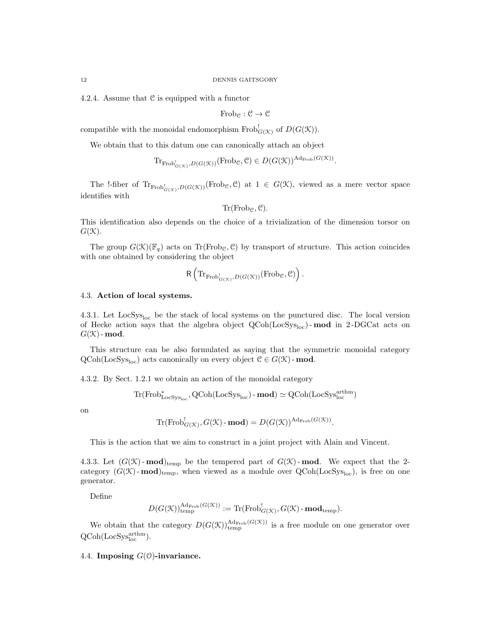4.2.4. Assume that C is equipped with a functor

$$
\mathrm{Frob}_{\mathcal{C}} : \mathcal{C} \rightarrow \mathcal{C}
$$

compatible with the monoidal endomorphism  $Frob_{G(\mathcal{K})}^!$  of  $D(G(\mathcal{K}))$ .

We obtain that to this datum one can canonically attach an object

$$
\mathrm{Tr}_{\mathrm{Frob}^!_{G(\mathcal{K})}, D(G(\mathcal{K}))}(\mathrm{Frob}_{\mathcal{C}}, \mathcal{C}) \in D(G(\mathcal{K}))^{\mathrm{Ad}_{\mathrm{Frob}}(G(\mathcal{K}))}.
$$

The !-fiber of  $Tr_{Frob_{G(\mathcal{K})}^!}D(G(\mathcal{K}))(Frob_{\mathcal{C}}, \mathcal{C})$  at  $1 \in G(\mathcal{K})$ , viewed as a mere vector space identifies with

$$
\mathrm{Tr}(\mathrm{Frob}_{\mathcal{C}},\mathcal{C}).
$$

This identification also depends on the choice of a trivialization of the dimension torsor on  $G(\mathcal{K})$ .

The group  $G(\mathcal{K})(\mathbb{F}_{q})$  acts on Tr(Frob<sub>C</sub>, C) by transport of structure. This action coincides with one obtained by considering the object

$$
\mathsf{R}\left(\mathrm{Tr}_{\mathrm{Frob}^!_{G(\mathfrak{X})},D(G(\mathfrak{X}))}(\mathrm{Frob}_{\mathfrak{C}},\mathfrak{C})\right).
$$

## 4.3. Action of local systems.

4.3.1. Let LocSys<sub>loc</sub> be the stack of local systems on the punctured disc. The local version of Hecke action says that the algebra object  $QCoh(LocSys<sub>loc</sub>)$ -mod in 2-DGCat acts on  $G(\mathcal{K})$  - mod.

This structure can be also formulated as saying that the symmetric monoidal category  $QCoh(\text{LocSys}_{\text{loc}})$  acts canonically on every object  $C \in G(\mathcal{K})$  - mod.

4.3.2. By Sect. 1.2.1 we obtain an action of the monoidal category

$$
\mathrm{Tr}(\mathrm{Frob}^*_{\mathrm{LocSys}_{\mathrm{loc}}}, \mathrm{QCoh}(\mathrm{LocSys}_{\mathrm{loc}}) \text{-}\mathbf{mod}) \simeq \mathrm{QCoh}(\mathrm{LocSys}_{\mathrm{loc}}^{\mathrm{arthm}})
$$

on

$$
\mathrm{Tr}(\mathrm{Frob}_{G(\mathcal{K})}^! , G(\mathcal{K})\text{-}\mathbf{mod}) = D(G(\mathcal{K}))^{\mathrm{Ad}_{\mathrm{Frob}}(G(\mathcal{K}))}.
$$

This is the action that we aim to construct in a joint project with Alain and Vincent.

4.3.3. Let  $(G(\mathcal{K})$ -mod<sub>)temp</sub> be the tempered part of  $G(\mathcal{K})$ -mod. We expect that the 2category  $(G(\mathfrak{X})$ -mod)<sub>temp</sub>, when viewed as a module over QCoh(LocSys<sub>loc</sub>), is free on one generator.

Define

$$
D(G(\mathcal{K}))^{\mathrm{Ad}_{\mathrm{Frob}}(G(\mathcal{K}))}_{\mathrm{temp}} := \mathrm{Tr}(\mathrm{Frob}^!_{G(\mathcal{K})}, G(\mathcal{K})\text{-}\mathrm{\textbf{mod}}_{\mathrm{temp}}).
$$

We obtain that the category  $D(G(\mathcal{K}))_{temp}^{Ad_{Frob}(G(\mathcal{K}))}$  is a free module on one generator over  $Q\text{Coh}(\text{LocSys}_{\text{loc}}^{\text{arthm}}).$ 

4.4. Imposing  $G(0)$ -invariance.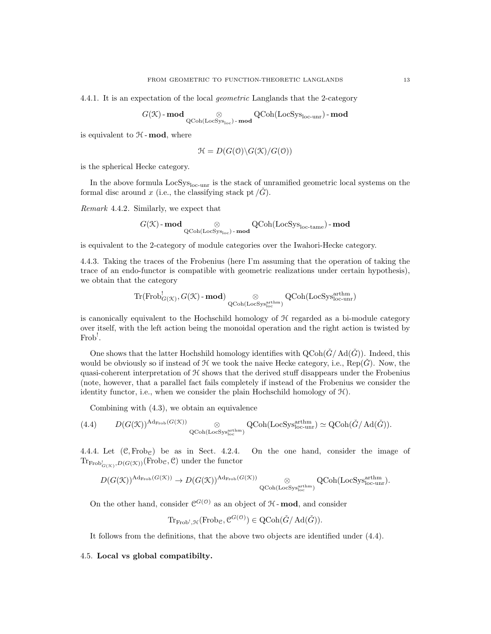4.4.1. It is an expectation of the local geometric Langlands that the 2-category

 $G(\mathfrak{K})\text{-}\mathbf{mod} \qquad\qquad\otimes$  $\underset{\text{QCoh}(\text{LocSys}_{\text{loc}}) - \textbf{mod}}{\otimes} \text{QCoh}(\text{LocSys}_{\text{loc-unr}}) - \textbf{mod}$ 

is equivalent to  $H$  - mod, where

$$
\mathcal{H} = D(G(\mathcal{O}) \backslash G(\mathcal{K}) / G(\mathcal{O}))
$$

is the spherical Hecke category.

In the above formula  $LocSys<sub>loc-unr</sub>$  is the stack of unramified geometric local systems on the formal disc around x (i.e., the classifying stack pt  $/G$ ).

Remark 4.4.2. Similarly, we expect that

$$
G(\mathcal{K})\operatorname{-\textbf{mod}}_{\operatorname{QCoh}(\operatorname{LocSys}_{\operatorname{loc}})\operatorname{-\textbf{mod}}} \operatorname{QCoh}(\operatorname{LocSys}_{\operatorname{loc-tame}})\operatorname{-\textbf{mod}}
$$

is equivalent to the 2-category of module categories over the Iwahori-Hecke category.

4.4.3. Taking the traces of the Frobenius (here I'm assuming that the operation of taking the trace of an endo-functor is compatible with geometric realizations under certain hypothesis), we obtain that the category

$$
\mathrm{Tr}(\mathrm{Frob}^!_{G(\mathcal{K})},G(\mathcal{K})\text{-}\mathbf{mod})\underset{\mathrm{QCoh}(\mathrm{LocSys}^{\mathrm{arthm}}_{\mathrm{loc}})}{\otimes}\mathrm{QCoh}(\mathrm{LocSys}^{\mathrm{arthm}}_{\mathrm{loc-unr}})
$$

is canonically equivalent to the Hochschild homology of  $H$  regarded as a bi-module category over itself, with the left action being the monoidal operation and the right action is twisted by Frob! .

One shows that the latter Hochshild homology identifies with  $\text{QCoh}(\check{G}/\text{Ad}(\check{G}))$ . Indeed, this would be obviously so if instead of  $\mathcal H$  we took the naive Hecke category, i.e.,  $\text{Rep}(G)$ . Now, the quasi-coherent interpretation of  $H$  shows that the derived stuff disappears under the Frobenius (note, however, that a parallel fact fails completely if instead of the Frobenius we consider the identity functor, i.e., when we consider the plain Hochschild homology of  $H$ ).

Combining with (4.3), we obtain an equivalence

(4.4) 
$$
D(G(\mathcal{K}))^{\mathrm{Ad}_{\mathrm{Frob}}(G(\mathcal{K}))} \otimes \underset{\mathrm{QCoh}(\mathrm{LocSys}_{\mathrm{loc}}^{\mathrm{arthm}})}{\otimes} \mathrm{QCoh}(\mathrm{LocSys}_{\mathrm{loc-unr}}^{\mathrm{arthm}}) \simeq \mathrm{QCoh}(\check{G}/\mathrm{Ad}(\check{G})).
$$

4.4.4. Let  $(\mathcal{C}, \text{Frob}_{\mathcal{C}})$  be as in Sect. 4.2.4. On the one hand, consider the image of  $\text{Tr}_{\text{Frob}^!_{G(\mathcal{K})},D(G(\mathcal{K}))}(\text{Frob}_\mathcal{C}, \mathcal{C})$  under the functor

$$
D(G(\mathcal{K}))^{\mathrm{Ad}_{\mathrm{Frob}}(G(\mathcal{K}))} \to D(G(\mathcal{K}))^{\mathrm{Ad}_{\mathrm{Frob}}(G(\mathcal{K}))} \underset{\mathrm{QCoh}(\mathrm{LocSys}_{\mathrm{loc}}^{\mathrm{arthm}})}{\otimes} \mathrm{QCoh}(\mathrm{LocSys}_{\mathrm{loc-unr}}^{\mathrm{arthm}}).
$$

On the other hand, consider  $\mathcal{C}^{G(0)}$  as an object of  $H$ -mod, and consider

$$
\mathrm{Tr}_{\mathrm{Frob}^!, \mathcal{H}}(\mathrm{Frob}_\mathcal{C}, \mathcal{C}^{G(\mathcal{O})}) \in \mathrm{QCoh}(\check{G}/\mathrm{Ad}(\check{G})).
$$

It follows from the definitions, that the above two objects are identified under (4.4).

4.5. Local vs global compatibilty.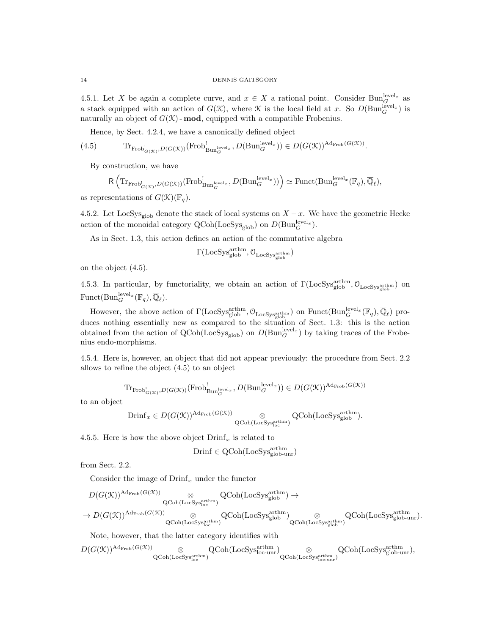4.5.1. Let X be again a complete curve, and  $x \in X$  a rational point. Consider  $Bun_G^{\text{level}_x}$  as a stack equipped with an action of  $G(\mathcal{K})$ , where  $\mathcal K$  is the local field at x. So  $D(\text{Bun}_G^{\text{level}_x})$  is naturally an object of  $G(\mathfrak{X})$ -mod, equipped with a compatible Frobenius.

Hence, by Sect. 4.2.4, we have a canonically defined object

(4.5) 
$$
\text{Tr}_{\text{Frob}_{G(\mathcal{K})}^!}D(G(\mathcal{K}))(\text{Frob}_{\text{Bun}_G^{\text{level}_x}}^!D(\text{Bun}_G^{\text{level}_x})) \in D(G(\mathcal{K}))^{\text{Ad}_{\text{Frob}}(G(\mathcal{K}))}.
$$

By construction, we have

$$
\mathsf{R}\left(\mathrm{Tr}_{\mathrm{Frob}^!_{G(\mathcal{K})},D(G(\mathcal{K}))}(\mathrm{Frob}^!_{\mathrm{Bun}^{\mathrm{level}_x}_G},D(\mathrm{Bun}^{\mathrm{level}_x}_G))\right)\simeq \mathrm{Funct}(\mathrm{Bun}^{\mathrm{level}_x}_G(\mathbb{F}_q),\overline{\mathbb{Q}}_\ell),
$$

as representations of  $G(\mathcal{K})(\mathbb{F}_q)$ .

4.5.2. Let LocSys<sub>glob</sub> denote the stack of local systems on  $X - x$ . We have the geometric Hecke action of the monoidal category  $\text{QCoh}(\text{LocSys}_{\text{glob}})$  on  $D(\text{Bun}_{G}^{\text{level}_x})$ .

As in Sect. 1.3, this action defines an action of the commutative algebra

$$
\Gamma({\rm LocSys}_{\rm glob}^{\rm arthm},\mathcal{O}_{\rm LocSys}_{\rm glob}^{\rm arthm})
$$

on the object (4.5).

4.5.3. In particular, by functoriality, we obtain an action of  $\Gamma(\text{LocSys}_{\text{glob}}^{\text{arthm}}, \mathcal{O}_{\text{LocSys}_{\text{glob}}^{\text{arthm}}})$  on Funct $(\text{Bun}_G^{\text{level}_x}(\mathbb{F}_q), \overline{\mathbb{Q}}_\ell).$ 

However, the above action of  $\Gamma(\text{LocSys}_{\text{glob}}^{\text{arthm}}, \mathcal{O}_{\text{LocSys}_{\text{glob}}^{\text{arthm}}})$  on  $\text{Funct}(\text{Bun}_G^{\text{level}_x}(\mathbb{F}_q), \overline{\mathbb{Q}}_\ell)$  produces nothing essentially new as compared to the situation of Sect. 1.3: this is the action obtained from the action of  $QCoh(LocSys_{glob})$  on  $D(Bun_{G}^{level_x})$  by taking traces of the Frobenius endo-morphisms.

4.5.4. Here is, however, an object that did not appear previously: the procedure from Sect. 2.2 allows to refine the object (4.5) to an object

$$
\mathrm{Tr}_{\mathrm{Frob}^!_{G(\mathcal{K})},D(G(\mathcal{K}))}(\mathrm{Frob}^!_{\mathrm{Bun}^{\mathrm{level}_x}_G},D(\mathrm{Bun}^{\mathrm{level}_x}_G)) \in D(G(\mathcal{K}))^{\mathrm{Ad}_{\mathrm{Frob}}(G(\mathcal{K}))}
$$

to an object

$$
\text{Drinf}_x \in D(G(\mathcal{K}))^{\text{Ad}_{\text{Frob}}(G(\mathcal{K}))} \otimes \text{QCoh}(\text{LocSys}_{\text{glob}}^{\text{arthm}}).
$$

4.5.5. Here is how the above object  $\text{Drinf}_x$  is related to

$$
Drinf \in \text{QCoh}(\text{LocSys}_{\text{glob-unr}}^{\text{arthm}})
$$

from Sect. 2.2.

Consider the image of  $Drinf_x$  under the functor

$$
\begin{array}{ccc}D(G(\mathcal{K}))^{\mathrm{Ad}_{\mathrm{Frob}}(G(\mathcal{K}))}&\otimes&\mathrm{QCoh}(\mathrm{Loc} \mathrm{Sys}^{\mathrm{arthm}}_{\mathrm{glob}} )\to \\ &\to D(G(\mathcal{K}))^{\mathrm{Ad}_{\mathrm{Frob}}(G(\mathcal{K}))}&\otimes&\mathrm{QCoh}(\mathrm{Loc} \mathrm{Sys}^{\mathrm{arthm}}_{\mathrm{loc}})\\ &\to D(G(\mathcal{K}))^{\mathrm{Ad}_{\mathrm{Frob}}(G(\mathcal{K}))}&\otimes&\mathrm{QCoh}(\mathrm{Loc} \mathrm{Sys}^{\mathrm{arthm}}_{\mathrm{glob}} )\otimes\\ &\phantom{a} \mathrm{QCoh}(\mathrm{Loc} \mathrm{Sys}^{\mathrm{arthm}}_{\mathrm{loc}})&\phantom{a} \mathrm{QCoh}(\mathrm{Loc} \mathrm{Sys}^{\mathrm{arthm}}_{\mathrm{glob}})\\ \end{array} \begin{array}{c}Q\mathrm{Coh}(\mathrm{Loc} \mathrm{Sys}^{\mathrm{arthm}}_{\mathrm{loc}})\\ \end{array}
$$

Note, however, that the latter category identifies with

$$
D(G(\mathcal{K}))^{\mathrm{Ad}_{\mathrm{Frob}}(G(\mathcal{K}))} \underset{\mathrm{QCoh}(\mathrm{LocSys}^{\mathrm{arthm}}_{\mathrm{loc}})}{\otimes} \mathrm{QCoh}(\mathrm{LocSys}^{\mathrm{arthm}}_{\mathrm{loc-unr}}) \underset{\mathrm{QCoh}(\mathrm{LocSys}^{\mathrm{arthm}}_{\mathrm{loc-unr}})}{\otimes} \mathrm{QCoh}(\mathrm{LocSys}^{\mathrm{arthm}}_{\mathrm{glob-unr}}),
$$